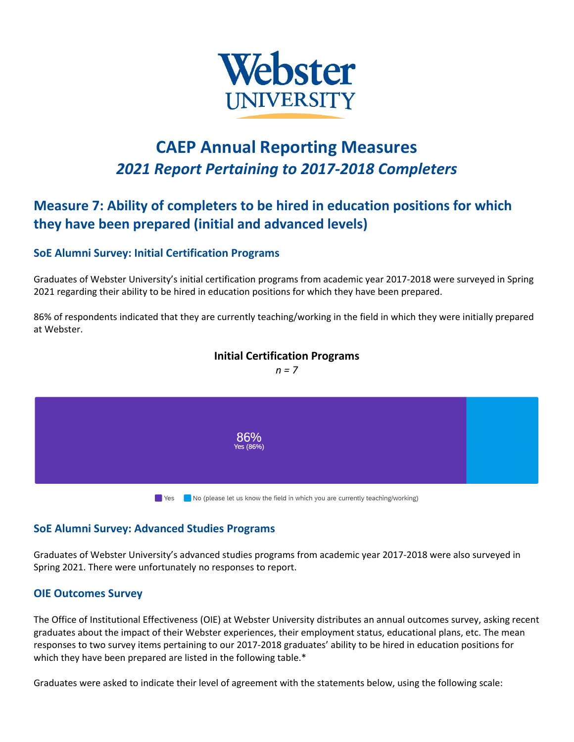

# **CAEP Annual Reporting Measures** *2021 Report Pertaining to 2017-2018 Completers*

## **Measure 7: Ability of completers to be hired in education positions for which they have been prepared (initial and advanced levels)**

### **SoE Alumni Survey: Initial Certification Programs**

Graduates of Webster University's initial certification programs from academic year 2017-2018 were surveyed in Spring 2021 regarding their ability to be hired in education positions for which they have been prepared.

86% of respondents indicated that they are currently teaching/working in the field in which they were initially prepared at Webster.

### **Initial Certification Programs**

*n = 7*



#### **SoE Alumni Survey: Advanced Studies Programs**

Graduates of Webster University's advanced studies programs from academic year 2017-2018 were also surveyed in Spring 2021. There were unfortunately no responses to report.

#### **OIE Outcomes Survey**

The Office of Institutional Effectiveness (OIE) at Webster University distributes an annual outcomes survey, asking recent graduates about the impact of their Webster experiences, their employment status, educational plans, etc. The mean responses to two survey items pertaining to our 2017-2018 graduates' ability to be hired in education positions for which they have been prepared are listed in the following table.<sup>\*</sup>

Graduates were asked to indicate their level of agreement with the statements below, using the following scale: